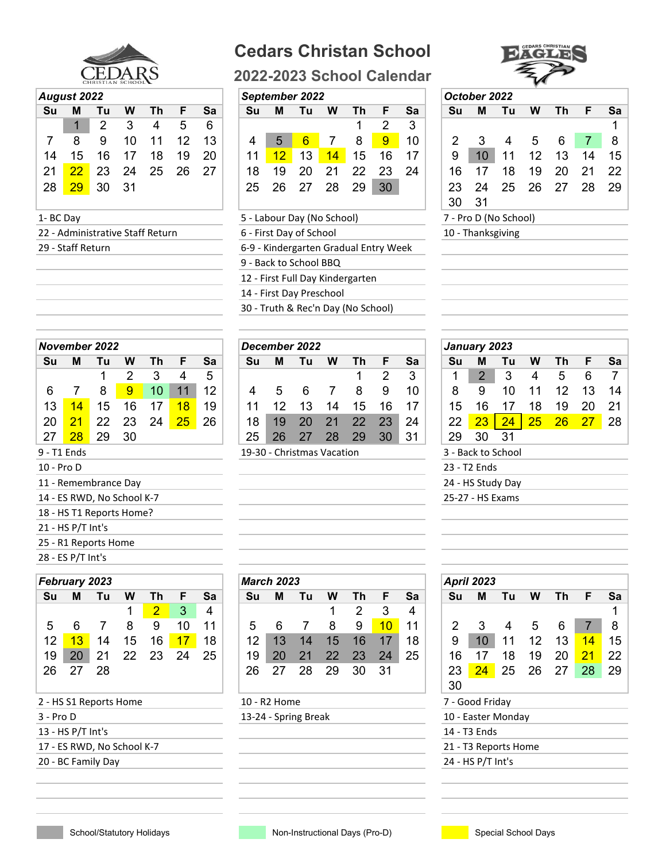

## **Cedars Christan School**

**2022-2023 School Calendar**



| <b>August 2022</b> |  |
|--------------------|--|
|--------------------|--|

|          | Auyusi ZUZZ |    |    |    |    |    |    | <b>JENIEIIINEI ZUZZ</b>    |                 |    |    |    |    |     | ULIUNTI LULL |                       |    |     |    |     |
|----------|-------------|----|----|----|----|----|----|----------------------------|-----------------|----|----|----|----|-----|--------------|-----------------------|----|-----|----|-----|
| Su       | М           | Tu | W  | Τh | F. | Sa | Su | м                          | Τu              | W  | Th | F. | Sa | Su  | м            | Tu                    | W  | Th. | E  | Sa  |
|          |             | 2  |    | 4  | 5  | 6  |    |                            |                 |    |    |    | 3  |     |              |                       |    |     |    |     |
|          | 8           | 9  | 10 | 11 | 12 | 13 | 4  | 5                          | $6\phantom{1}6$ |    | 8  | 9  | 10 |     |              | 4                     | 5  | 6   |    | - 8 |
| 14       | 15          | 16 | 17 | 18 | 19 | 20 | 11 | 12                         | 13              | 14 | 15 | 16 | 17 | 9   | 10           | 11                    | 12 | 13  | 14 | 15  |
| 21       | 22          | 23 | 24 | 25 | 26 | 27 | 18 | 19                         | 20              | 21 | 22 | 23 | 24 | 16  |              | 18                    | 19 | 20  | 21 | 22  |
| 28       | 29          | 30 | 31 |    |    |    | 25 | 26                         | 27              | 28 | 29 | 30 |    | 23. | 24           | 25                    | 26 | 27  | 28 | 29  |
|          |             |    |    |    |    |    |    |                            |                 |    |    |    |    | 30  | -31          |                       |    |     |    |     |
| 1-BC Day |             |    |    |    |    |    |    | 5 - Labour Day (No School) |                 |    |    |    |    |     |              | 7 - Pro D (No School) |    |     |    |     |
|          |             |    |    |    |    |    |    |                            |                 |    |    |    |    |     |              |                       |    |     |    |     |

22 - Administrative Staff Return 6 - First Day of School

## *August 2022 September 2022 October 2022*

|                                   |              | $1$ 2 3 4 5 6 |     |  |                                                |  |    |                 |   |  |  |                      |  |
|-----------------------------------|--------------|---------------|-----|--|------------------------------------------------|--|----|-----------------|---|--|--|----------------------|--|
|                                   | 8 9 10 11 12 |               | 13  |  | 4 5 <mark>6</mark> 7 8 <mark>9</mark>          |  |    | 10 <sup>1</sup> |   |  |  | 2 3 4 5 6 7 8        |  |
| 14  15  16  17  18  19            |              |               | -20 |  | 11 <mark>12</mark> 13 <mark>14</mark> 15 16 17 |  |    |                 | 9 |  |  | 10 11 12 13 14 15    |  |
| 21 <mark>22</mark> 23 24 25 26 27 |              |               |     |  |                                                |  |    | -24             |   |  |  | 16 17 18 19 20 21 22 |  |
| 28 <mark>29</mark> 30 31          |              |               |     |  |                                                |  | 30 |                 |   |  |  | 23 24 25 26 27 28 29 |  |

5 - Labour Day (No School) 29 - Staff Return 6-9 - Kindergarten Gradual Entry Week

9 - Back to School BBQ

12 - First Full Day Kindergarten

14 - First Day Preschool

30 - Truth & Rec'n Day (No School)

|    |             | November 2022 |    |                 |    |    |    | December 2022              |    |    |    |    |    | January 2023 |    |                    |    |    |    |     |
|----|-------------|---------------|----|-----------------|----|----|----|----------------------------|----|----|----|----|----|--------------|----|--------------------|----|----|----|-----|
| Su | м           | Τu            | W  | Τh              | F  | Sa | Su | м                          | Tu | W  | Τh | F  | Sa | Su           | м  | Tu                 | W  | Τh |    | Sa  |
|    |             |               |    |                 | 4  | 5  |    |                            |    |    |    | 2  | 3  |              |    | 3                  | 4  | 5  | 6  |     |
| 6  |             | 8             | 9  | 10 <sup>1</sup> | 11 | 12 |    | 5                          |    |    | 8  | 9  | 10 | 8            | 9  |                    |    | 12 | 13 | 14  |
| 13 | 14          | 15            | 16 |                 | 18 | 19 |    |                            | 13 | 14 | 15 | 16 | 17 | 15           |    |                    | 18 | 19 | 20 | -21 |
| 20 | 21          | 22            | 23 | 24              | 25 | 26 | 18 | 19                         |    |    | 22 | 23 | 24 | 22           |    | 24                 | 25 | 26 |    | 28  |
| 27 | 28          | 29            | 30 |                 |    |    | 25 | 26                         | 27 | 28 | 29 | 30 | 31 | 29           | 30 | -31                |    |    |    |     |
|    | 9 - T1 Ends |               |    |                 |    |    |    | 19-30 - Christmas Vacation |    |    |    |    |    |              |    | 3 - Back to School |    |    |    |     |

| 4 - ES RWD, No School K-7                      |                                             | 25-27 - HS Exams                         |
|------------------------------------------------|---------------------------------------------|------------------------------------------|
| 8 - HS T1 Reports Home?                        |                                             |                                          |
| 1 - HS P/T Int's                               |                                             |                                          |
| 5 - R1 Reports Home                            |                                             |                                          |
| 8 - ES P/T Int's                               |                                             |                                          |
| ebruary 2023                                   | <b>March 2023</b>                           | <b>April 2023</b>                        |
| Su<br>м<br><b>Sa</b><br>- Th<br>W<br>Tu<br>F.  | -Th<br>W<br>Sa<br>M<br>Tu<br><b>Su</b><br>F | Sa<br><b>Su</b><br>М<br>W<br>Th.<br>- Tu |
| $\overline{a}$<br><u> A 1</u><br>$\sim$ $\sim$ | $\sim$ $\sim$ $\sim$                        |                                          |

|                                             |  | 1 2 3 4 |    |       |                   |  | 1 2 3 4                      |                 |  |                                 |  |                       |  |
|---------------------------------------------|--|---------|----|-------|-------------------|--|------------------------------|-----------------|--|---------------------------------|--|-----------------------|--|
| 5 6 7 8 9 10 11                             |  |         |    |       |                   |  | 5 6 7 8 9 <mark>10</mark> 11 |                 |  | 2 3 4 5 6 7 8                   |  |                       |  |
| l2 <mark>13</mark> 14 15 16 <mark>17</mark> |  |         | 18 |       |                   |  | 12 13 14 15 16 17            | 18 <sup>1</sup> |  | 9 10 11 12 13 <mark>14</mark> 1 |  |                       |  |
| l9 20 21 22 23 24                           |  |         | 25 | ,19 ▼ |                   |  | 20 21 22 23 24               | 25              |  | 16 17 18 19                     |  | 20 <mark>21</mark> 21 |  |
| 26 27 28                                    |  |         |    |       | 26 27 28 29 30 31 |  |                              |                 |  | 23 24 25 26 27                  |  | $28$ 2                |  |

3 - Pro D 13-24 - Spring Break 10 - Easter Monday

| и       |    |                           |    |    | 6  |    |    |                            |    |    |    | 3  |    |                       |    |    |    |    |                 |
|---------|----|---------------------------|----|----|----|----|----|----------------------------|----|----|----|----|----|-----------------------|----|----|----|----|-----------------|
| 8       |    |                           |    |    | 13 |    |    |                            |    | 8  | 9  | 10 |    |                       |    | 5  |    |    |                 |
| 5       | 16 |                           | 18 | 19 | 20 |    |    | 13                         | 14 | 15 |    |    | 9  |                       |    | 12 | 13 | 14 | 15 <sup>1</sup> |
| $^{22}$ | 23 | 24                        | 25 | 26 | 27 | 18 | 19 |                            |    | 22 |    | 24 | 16 |                       | 18 | 19 | 20 |    | 22 <sub>1</sub> |
| 29      | 30 | -31                       |    |    |    | 25 | 26 |                            | 28 | 29 | 30 |    | 23 |                       | 25 | 26 |    | 28 | 29 <sup>1</sup> |
|         |    |                           |    |    |    |    |    |                            |    |    |    |    | 30 | 31                    |    |    |    |    |                 |
| ۱V      |    |                           |    |    |    |    |    | 5 - Labour Day (No School) |    |    |    |    |    | 7 - Pro D (No School) |    |    |    |    |                 |
|         |    | ninistrative Staff Return |    |    |    |    |    | 6 - First Day of School    |    |    |    |    |    | 10 - Thanksgiving     |    |    |    |    |                 |

|    | January 2023     |                    |    |    |    |    |
|----|------------------|--------------------|----|----|----|----|
| Su | м                | Τu                 | W  | Τh | F  | Sa |
| 1  | 2                | 3                  | 4  | 5  | 6  | 7  |
| 8  | 9                | 10                 | 11 | 12 | 13 | 14 |
| 15 | 16               | 17                 | 18 | 19 | 20 | 21 |
| 22 | 23               | 24                 | 25 | 26 | 27 | 28 |
| 29 | 30               | 31                 |    |    |    |    |
|    |                  | 3 - Back to School |    |    |    |    |
|    | 23 - T2 Fnds     |                    |    |    |    |    |
|    |                  | 24 - HS Study Day  |    |    |    |    |
|    | 25-27 - HS Exams |                    |    |    |    |    |

|    | ebruary 2023 |                      |    |    |    |    |    | <b>March 2023</b> |    |    |    |    |    |    | <b>April 2023</b> |    |    |    |               |    |
|----|--------------|----------------------|----|----|----|----|----|-------------------|----|----|----|----|----|----|-------------------|----|----|----|---------------|----|
| Su | Μ            | Tu                   | W  | Τh | E  | Sa | Su | M                 | Tu | W  | Τh | F  | Sa | Su | М                 | Tu | W  | Τh | F             | Sa |
|    |              |                      |    | 2  | 3  | 4  |    |                   |    |    |    | 3  | 4  |    |                   |    |    |    |               |    |
| 5  | 6            |                      | 8  | 9  | 10 | 11 | 5  | 6                 |    | 8  | 9  | 10 | 11 | 2  |                   |    | 5  | 6  |               | 8  |
| 12 | 13           | 14                   | 15 | 16 |    | 18 | 12 | 13                | 14 | 15 | 16 |    | 18 | 9  | 10                |    | 12 | 13 | 14            | 15 |
| 19 | 20           | 21                   | 22 | 23 | 24 | 25 | 19 | 20                | 21 | 22 | 23 | 24 | 25 | 16 |                   | 18 | 19 | 20 | $\mathbf{21}$ | 22 |
| 26 | 27           | 28                   |    |    |    |    | 26 | 27                | 28 | 29 | 30 | 31 |    | 23 | 24                | 25 | 26 | 27 | 28            | 29 |
|    |              |                      |    |    |    |    |    |                   |    |    |    |    |    | 30 |                   |    |    |    |               |    |
|    |              | - HS S1 Renorts Home |    |    |    |    |    | $10 - R2$ Home    |    |    |    |    |    |    | 7 - Good Friday   |    |    |    |               |    |

- 13 HS P/T Int's 14 T3 Ends
- 17 ES RWD, No School K-7 21 T3 Reports Home

20 - BC Family Day 24 - HS P/T Int's

|            |                     | November 2022              |    |    |    |    |    | December 2022              |    |    |    |    |    |    | January 2023             |    |
|------------|---------------------|----------------------------|----|----|----|----|----|----------------------------|----|----|----|----|----|----|--------------------------|----|
| Su         | м                   | Tu                         | W  | Th | F. | Sa | Su | M                          | Tu | W  | Th | F  | Sa | Su | м                        | Tu |
|            |                     | 1                          | 2  | 3  | 4  | 5  |    |                            |    |    | 1  | 2  | 3  | 1  | $\overline{2}$           | 3  |
| 6          | 7                   | 8                          | 9  | 10 | 11 | 12 | 4  | 5                          | 6  | 7  | 8  | 9  | 10 | 8  | 9                        | 10 |
| 13         | 14                  | 15                         | 16 | 17 | 18 | 19 | 11 | 12                         | 13 | 14 | 15 | 16 | 17 | 15 | 16                       | 17 |
| 20         | 21                  | 22                         | 23 | 24 | 25 | 26 | 18 | 19                         | 20 | 21 | 22 | 23 | 24 | 22 | 23                       | 24 |
| 27         | 28                  | 29                         | 30 |    |    |    | 25 | 26                         | 27 | 28 | 29 | 30 | 31 | 29 | 30                       | 31 |
|            | 9 - T1 Ends         |                            |    |    |    |    |    | 19-30 - Christmas Vacation |    |    |    |    |    |    | 3 - Back to School       |    |
| 10 - Pro D |                     |                            |    |    |    |    |    |                            |    |    |    |    |    |    | 23 - T <sub>2</sub> Ends |    |
|            |                     | 11 - Remembrance Day       |    |    |    |    |    |                            |    |    |    |    |    |    | 24 - HS Study Day        |    |
|            |                     | 14 - ES RWD, No School K-7 |    |    |    |    |    |                            |    |    |    |    |    |    | 25-27 - HS Exams         |    |
|            |                     | 18 - HS T1 Reports Home?   |    |    |    |    |    |                            |    |    |    |    |    |    |                          |    |
|            | $21 - HS$ P/T Int's |                            |    |    |    |    |    |                            |    |    |    |    |    |    |                          |    |
|            |                     | 25 - R1 Reports Home       |    |    |    |    |    |                            |    |    |    |    |    |    |                          |    |
|            | 28 - ES P/T Int's   |                            |    |    |    |    |    |                            |    |    |    |    |    |    |                          |    |

|    | February 2023 |    |    |    |    |    |
|----|---------------|----|----|----|----|----|
| Su | м             | Τu | w  | Τh | F  | Sa |
|    |               |    | 1  | 2  | 3  | 4  |
| 5  | 6             |    | 8  | 9  | 10 | 11 |
| 12 | 13            | 14 | 15 | 16 | 17 | 18 |
| 19 | 20            | 21 | 22 | 23 | 24 | 25 |
| 26 | 27            | 28 |    |    |    |    |

2 - HS S1 Reports Home 10 - R2 Home 10 - R2 Home 7 - Good Friday